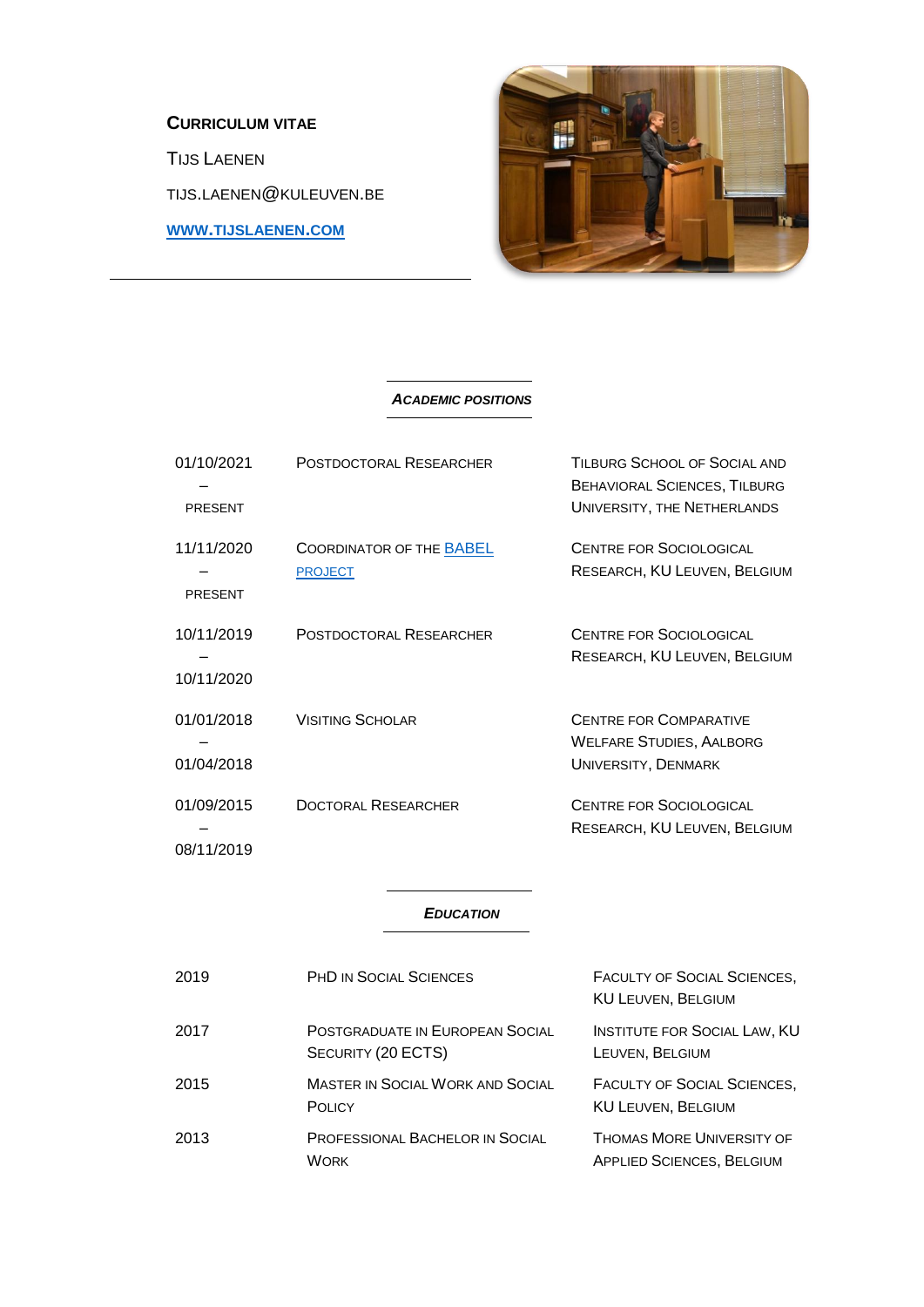# **CURRICULUM VITAE**

TIJS LAENEN

TIJS.LAENEN@KULEUVEN.BE

**WWW.[TIJSLAENEN](http://www.tijslaenen.com/).COM**



### *ACADEMIC POSITIONS*

| 01/10/2021<br><b>PRESENT</b> | POSTDOCTORAL RESEARCHER                           | TILBURG SCHOOL OF SOCIAL AND<br><b>BEHAVIORAL SCIENCES, TILBURG</b><br>UNIVERSITY, THE NETHERLANDS |
|------------------------------|---------------------------------------------------|----------------------------------------------------------------------------------------------------|
| 11/11/2020<br><b>PRESENT</b> | <b>COORDINATOR OF THE BABEL</b><br><b>PROJECT</b> | <b>CENTRE FOR SOCIOLOGICAL</b><br>RESEARCH, KU LEUVEN, BELGIUM                                     |
| 10/11/2019<br>10/11/2020     | POSTDOCTORAL RESEARCHER                           | <b>CENTRE FOR SOCIOLOGICAL</b><br>RESEARCH, KU LEUVEN, BELGIUM                                     |
| 01/01/2018<br>01/04/2018     | <b>VISITING SCHOLAR</b>                           | <b>CENTRE FOR COMPARATIVE</b><br><b>WELFARE STUDIES, AALBORG</b><br><b>UNIVERSITY, DENMARK</b>     |
| 01/09/2015<br>08/11/2019     | <b>DOCTORAL RESEARCHER</b>                        | <b>CENTRE FOR SOCIOLOGICAL</b><br>RESEARCH, KU LEUVEN, BELGIUM                                     |

## *EDUCATION*

| 2019 | <b>PHD IN SOCIAL SCIENCES</b>                                | <b>FACULTY OF SOCIAL SCIENCES,</b><br><b>KU LEUVEN, BELGIUM</b> |
|------|--------------------------------------------------------------|-----------------------------------------------------------------|
| 2017 | <b>POSTGRADUATE IN EUROPEAN SOCIAL</b><br>SECURITY (20 ECTS) | <b>INSTITUTE FOR SOCIAL LAW, KU</b><br>LEUVEN, BELGIUM          |
| 2015 | <b>MASTER IN SOCIAL WORK AND SOCIAL</b><br><b>POLICY</b>     | <b>FACULTY OF SOCIAL SCIENCES,</b><br><b>KU LEUVEN, BELGIUM</b> |
| 2013 | PROFESSIONAL BACHELOR IN SOCIAL<br><b>WORK</b>               | THOMAS MORE UNIVERSITY OF<br><b>APPLIED SCIENCES, BELGIUM</b>   |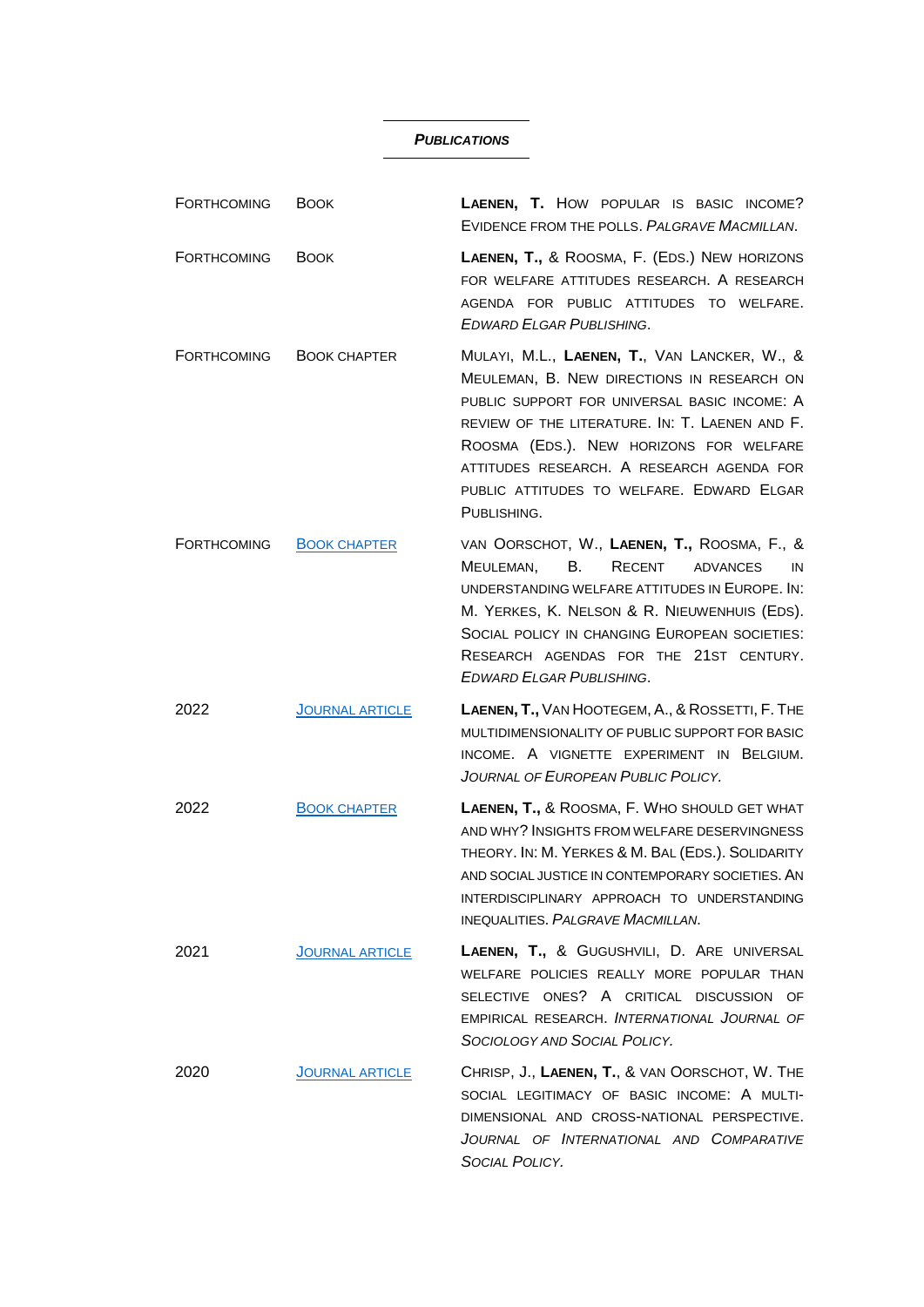### *PUBLICATIONS*

| FORTHCOMING        | <b>BOOK</b>            | LAENEN, T. HOW POPULAR IS BASIC INCOME?<br>EVIDENCE FROM THE POLLS. PALGRAVE MACMILLAN.                                                                                                                                                                                                                                                          |
|--------------------|------------------------|--------------------------------------------------------------------------------------------------------------------------------------------------------------------------------------------------------------------------------------------------------------------------------------------------------------------------------------------------|
| FORTHCOMING        | <b>BOOK</b>            | LAENEN, T., & ROOSMA, F. (EDS.) NEW HORIZONS<br>FOR WELFARE ATTITUDES RESEARCH, A RESEARCH<br>AGENDA FOR PUBLIC ATTITUDES TO WELFARE.<br><b>EDWARD ELGAR PUBLISHING.</b>                                                                                                                                                                         |
| <b>FORTHCOMING</b> | <b>BOOK CHAPTER</b>    | MULAYI, M.L., LAENEN, T., VAN LANCKER, W., &<br>MEULEMAN, B. NEW DIRECTIONS IN RESEARCH ON<br>PUBLIC SUPPORT FOR UNIVERSAL BASIC INCOME: A<br>REVIEW OF THE LITERATURE. IN: T. LAENEN AND F.<br>ROOSMA (EDS.). NEW HORIZONS FOR WELFARE<br>ATTITUDES RESEARCH. A RESEARCH AGENDA FOR<br>PUBLIC ATTITUDES TO WELFARE. EDWARD ELGAR<br>PUBLISHING. |
| <b>FORTHCOMING</b> | <b>BOOK CHAPTER</b>    | VAN OORSCHOT, W., LAENEN, T., ROOSMA, F., &<br>MEULEMAN,<br><b>B.</b><br>RECENT<br>ADVANCES<br>IN<br>UNDERSTANDING WELFARE ATTITUDES IN EUROPE. IN:<br>M. YERKES, K. NELSON & R. NIEUWENHUIS (EDS).<br>SOCIAL POLICY IN CHANGING EUROPEAN SOCIETIES:<br>RESEARCH AGENDAS FOR THE 21ST CENTURY.<br><b>EDWARD ELGAR PUBLISHING.</b>                |
| 2022               | <b>JOURNAL ARTICLE</b> | LAENEN, T., VAN HOOTEGEM, A., & ROSSETTI, F. THE<br>MULTIDIMENSIONALITY OF PUBLIC SUPPORT FOR BASIC<br>INCOME. A VIGNETTE EXPERIMENT IN BELGIUM.<br>JOURNAL OF EUROPEAN PUBLIC POLICY.                                                                                                                                                           |
| 2022               | <b>BOOK CHAPTER</b>    | LAENEN, T., & ROOSMA, F. WHO SHOULD GET WHAT<br>AND WHY? INSIGHTS FROM WELFARE DESERVINGNESS<br>THEORY. IN: M. YERKES & M. BAL (EDS.). SOLIDARITY<br>AND SOCIAL JUSTICE IN CONTEMPORARY SOCIETIES. AN<br>INTERDISCIPLINARY APPROACH TO UNDERSTANDING<br><b>INEQUALITIES, PALGRAVE MACMILLAN.</b>                                                 |
| 2021               | <b>JOURNAL ARTICLE</b> | <b>LAENEN, T., &amp; GUGUSHVILI, D. ARE UNIVERSAL</b><br>WELFARE POLICIES REALLY MORE POPULAR THAN<br>SELECTIVE ONES? A CRITICAL DISCUSSION OF<br>EMPIRICAL RESEARCH, INTERNATIONAL JOURNAL OF<br>SOCIOLOGY AND SOCIAL POLICY.                                                                                                                   |
| 2020               | <b>JOURNAL ARTICLE</b> | CHRISP, J., LAENEN, T., & VAN OORSCHOT, W. THE<br>SOCIAL LEGITIMACY OF BASIC INCOME: A MULTI-<br>DIMENSIONAL AND CROSS-NATIONAL PERSPECTIVE.<br>JOURNAL OF INTERNATIONAL AND COMPARATIVE<br>SOCIAL POLICY.                                                                                                                                       |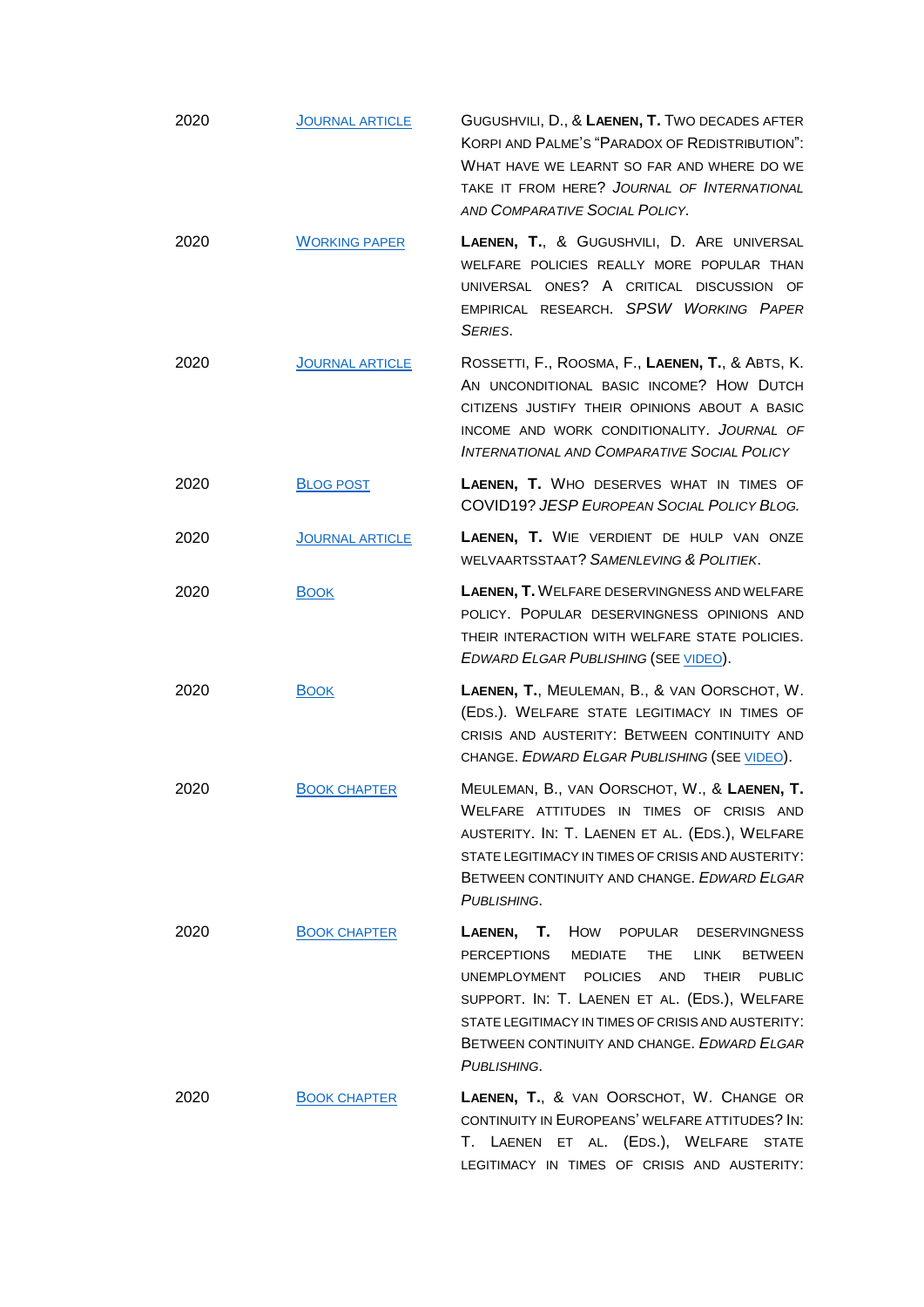| 2020 | <b>JOURNAL ARTICLE</b> | GUGUSHVILI, D., & LAENEN, T. TWO DECADES AFTER<br>KORPI AND PALME'S "PARADOX OF REDISTRIBUTION":<br>WHAT HAVE WE LEARNT SO FAR AND WHERE DO WE<br>TAKE IT FROM HERE? JOURNAL OF INTERNATIONAL<br>AND COMPARATIVE SOCIAL POLICY.                                                                                                           |
|------|------------------------|-------------------------------------------------------------------------------------------------------------------------------------------------------------------------------------------------------------------------------------------------------------------------------------------------------------------------------------------|
| 2020 | <b>WORKING PAPER</b>   | LAENEN, T., & GUGUSHVILI, D. ARE UNIVERSAL<br>WELFARE POLICIES REALLY MORE POPULAR THAN<br>UNIVERSAL ONES? A CRITICAL DISCUSSION OF<br>EMPIRICAL RESEARCH. SPSW WORKING PAPER<br>SERIES.                                                                                                                                                  |
| 2020 | <b>JOURNAL ARTICLE</b> | ROSSETTI, F., ROOSMA, F., LAENEN, T., & ABTS, K.<br>AN UNCONDITIONAL BASIC INCOME? HOW DUTCH<br>CITIZENS JUSTIFY THEIR OPINIONS ABOUT A BASIC<br>INCOME AND WORK CONDITIONALITY. JOURNAL OF<br>INTERNATIONAL AND COMPARATIVE SOCIAL POLICY                                                                                                |
| 2020 | <b>BLOG POST</b>       | LAENEN, T. WHO DESERVES WHAT IN TIMES OF<br>COVID19? JESP EUROPEAN SOCIAL POLICY BLOG.                                                                                                                                                                                                                                                    |
| 2020 | <b>JOURNAL ARTICLE</b> | LAENEN, T. WIE VERDIENT DE HULP VAN ONZE<br>WELVAARTSSTAAT? SAMENLEVING & POLITIEK.                                                                                                                                                                                                                                                       |
| 2020 | <b>BOOK</b>            | LAENEN, T. WELFARE DESERVINGNESS AND WELFARE<br>POLICY. POPULAR DESERVINGNESS OPINIONS AND<br>THEIR INTERACTION WITH WELFARE STATE POLICIES.<br>EDWARD ELGAR PUBLISHING (SEE VIDEO).                                                                                                                                                      |
| 2020 | <b>BOOK</b>            | LAENEN, T., MEULEMAN, B., & VAN OORSCHOT, W.<br>(EDS.). WELFARE STATE LEGITIMACY IN TIMES OF<br>CRISIS AND AUSTERITY: BETWEEN CONTINUITY AND<br>CHANGE. EDWARD ELGAR PUBLISHING (SEE VIDEO).                                                                                                                                              |
| 2020 | <b>BOOK CHAPTER</b>    | MEULEMAN, B., VAN OORSCHOT, W., & LAENEN, T.<br>WELFARE ATTITUDES IN TIMES OF CRISIS AND<br>AUSTERITY. IN: T. LAENEN ET AL. (EDS.), WELFARE<br>STATE LEGITIMACY IN TIMES OF CRISIS AND AUSTERITY:<br>BETWEEN CONTINUITY AND CHANGE, EDWARD ELGAR<br>PUBLISHING.                                                                           |
| 2020 | <b>BOOK CHAPTER</b>    | LAENEN, T. HOW POPULAR DESERVINGNESS<br>PERCEPTIONS<br>MEDIATE<br>THE<br><b>LINK</b><br><b>BETWEEN</b><br>UNEMPLOYMENT POLICIES AND<br><b>THEIR</b><br><b>PUBLIC</b><br>SUPPORT. IN: T. LAENEN ET AL. (EDS.), WELFARE<br>STATE LEGITIMACY IN TIMES OF CRISIS AND AUSTERITY:<br>BETWEEN CONTINUITY AND CHANGE, EDWARD ELGAR<br>PUBLISHING. |
| 2020 | <b>BOOK CHAPTER</b>    | LAENEN, T., & VAN OORSCHOT, W. CHANGE OR<br>CONTINUITY IN EUROPEANS' WELFARE ATTITUDES? IN:<br>T. LAENEN ET AL. (EDS.), WELFARE STATE<br>LEGITIMACY IN TIMES OF CRISIS AND AUSTERITY:                                                                                                                                                     |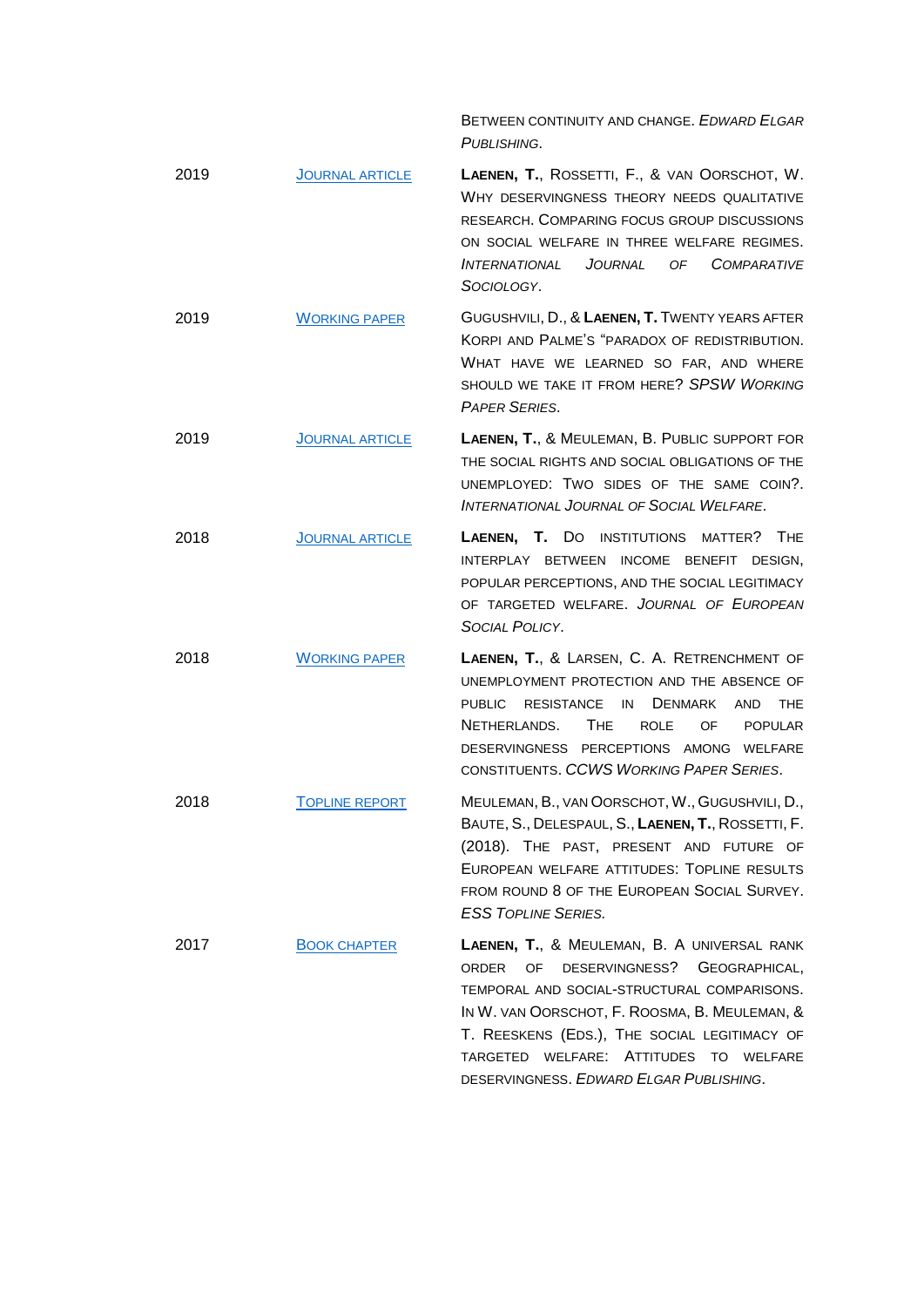BETWEEN CONTINUITY AND CHANGE. *EDWARD ELGAR PUBLISHING*.

- 2019 J[OURNAL ARTICLE](https://journals.sagepub.com/doi/10.1177/0020715219837745) **LAENEN, T.**, ROSSETTI, F., & VAN OORSCHOT, W. WHY DESERVINGNESS THEORY NEEDS QUALITATIVE RESEARCH. COMPARING FOCUS GROUP DISCUSSIONS ON SOCIAL WELFARE IN THREE WELFARE REGIMES. *INTERNATIONAL JOURNAL OF COMPARATIVE SOCIOLOGY*.
- 2019 W[ORKING PAPER](https://soc.kuleuven.be/ceso/spsw/workingpaperseries/2019/ceso-spsw-2019-05) GUGUSHVILI, D., & **LAENEN, T.** TWENTY YEARS AFTER KORPI AND PALME'S "PARADOX OF REDISTRIBUTION. WHAT HAVE WE LEARNED SO FAR, AND WHERE SHOULD WE TAKE IT FROM HERE? *SPSW WORKING PAPER SERIES*.
- 2019 J[OURNAL ARTICLE](https://onlinelibrary.wiley.com/doi/abs/10.1111/ijsw.12369) **LAENEN, T.**, & MEULEMAN, B. PUBLIC SUPPORT FOR THE SOCIAL RIGHTS AND SOCIAL OBLIGATIONS OF THE UNEMPLOYED: TWO SIDES OF THE SAME COIN?. *INTERNATIONAL JOURNAL OF SOCIAL WELFARE*.
- 2018 J[OURNAL ARTICLE](https://journals.sagepub.com/doi/10.1177/0958928718755777) **LAENEN, T.** DO INSTITUTIONS MATTER? THE INTERPLAY BETWEEN INCOME BENEFIT DESIGN, POPULAR PERCEPTIONS, AND THE SOCIAL LEGITIMACY OF TARGETED WELFARE. *JOURNAL OF EUROPEAN SOCIAL POLICY*.
- 2018 W[ORKING PAPER](https://www.politics-society.aau.dk/digitalAssets/684/684902_nr93_retrenchment-of-unemployment-protection-and-the-absence-of-public-resistance-in-denmark-and-the-netherlands.the-role-of-popular-deservingness-percepti.pdf) **LAENEN, T.**, & LARSEN, C. A. RETRENCHMENT OF UNEMPLOYMENT PROTECTION AND THE ABSENCE OF PUBLIC RESISTANCE IN DENMARK AND THE NETHERLANDS. THE ROLE OF POPULAR DESERVINGNESS PERCEPTIONS AMONG WELFARE CONSTITUENTS. *CCWS WORKING PAPER SERIES*.
- 2018 T[OPLINE REPORT](http://www.europeansocialsurvey.org/docs/findings/ESS8_toplines_issue_8_welfare.pdf) MEULEMAN, B., VAN OORSCHOT,W., GUGUSHVILI, D., BAUTE, S., DELESPAUL, S., **LAENEN, T.**, ROSSETTI, F. (2018). THE PAST, PRESENT AND FUTURE OF EUROPEAN WELFARE ATTITUDES: TOPLINE RESULTS FROM ROUND 8 OF THE EUROPEAN SOCIAL SURVEY. *ESS TOPLINE SERIES.*
- 2017 B[OOK CHAPTER](https://www.e-elgar.com/shop/gbp/the-social-legitimacy-of-targeted-welfare-9781785367205.html) **LAENEN, T.**, & MEULEMAN, B. A UNIVERSAL RANK ORDER OF DESERVINGNESS? GEOGRAPHICAL, TEMPORAL AND SOCIAL-STRUCTURAL COMPARISONS. IN W. VAN OORSCHOT, F. ROOSMA, B. MEULEMAN, & T. REESKENS (EDS.), THE SOCIAL LEGITIMACY OF TARGETED WELFARE: ATTITUDES TO WELFARE DESERVINGNESS. *EDWARD ELGAR PUBLISHING*.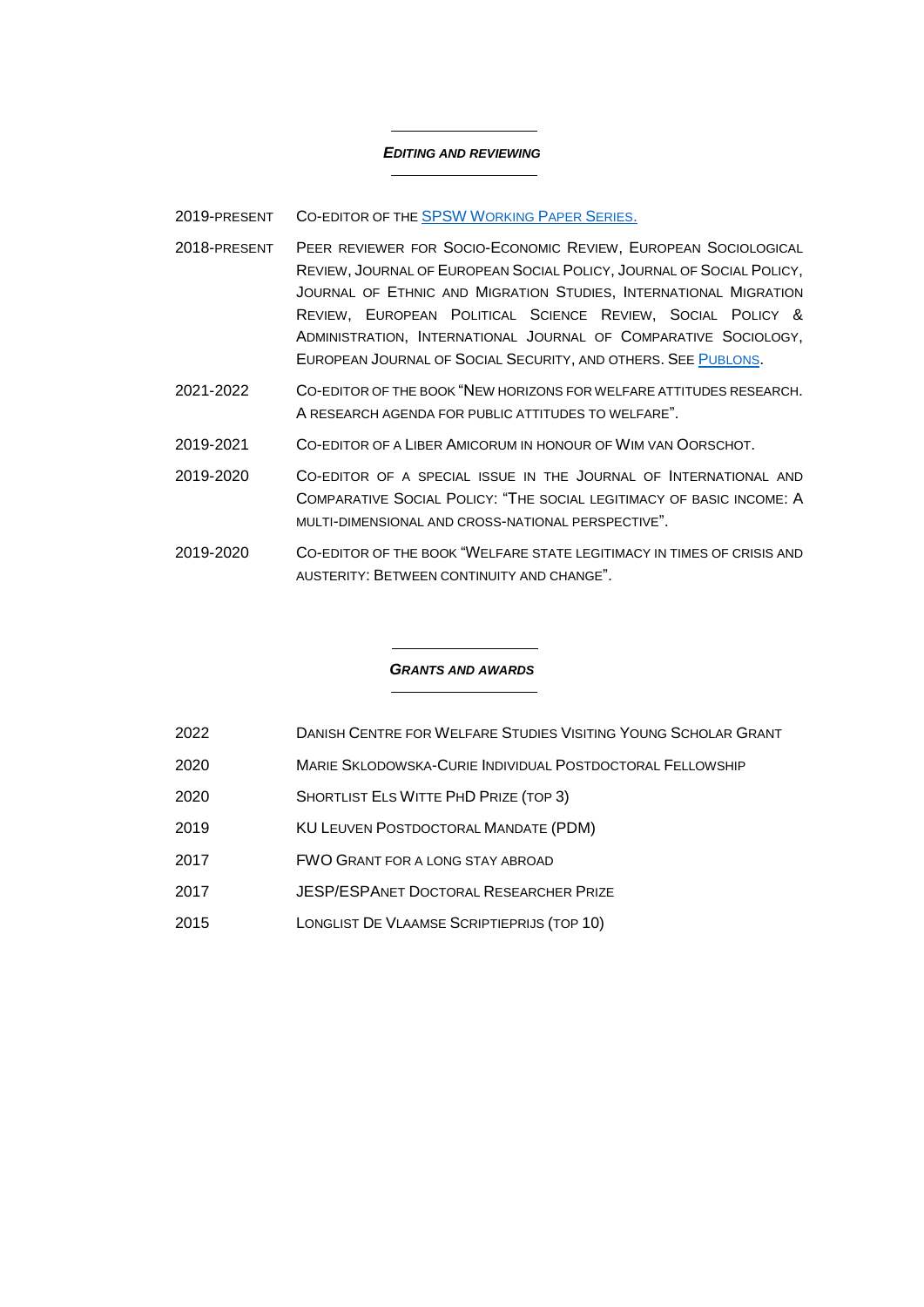#### *EDITING AND REVIEWING*

### 2019-PRESENT CO-EDITOR OF THE **[SPSW](http://www.spsw.be/working-paper-series) WORKING PAPER SERIES.**

- 2018-PRESENT PEER REVIEWER FOR SOCIO-ECONOMIC REVIEW, EUROPEAN SOCIOLOGICAL REVIEW, JOURNAL OF EUROPEAN SOCIAL POLICY, JOURNAL OF SOCIAL POLICY, JOURNAL OF ETHNIC AND MIGRATION STUDIES, INTERNATIONAL MIGRATION REVIEW, EUROPEAN POLITICAL SCIENCE REVIEW, SOCIAL POLICY & ADMINISTRATION, INTERNATIONAL JOURNAL OF COMPARATIVE SOCIOLOGY, EUROPEAN JOURNAL OF SOCIAL SECURITY, AND OTHERS. SEE P[UBLONS](https://publons.com/researcher/1437553/tijs-laenen/peer-review/).
- 2021-2022 CO-EDITOR OF THE BOOK "NEW HORIZONS FOR WELFARE ATTITUDES RESEARCH. A RESEARCH AGENDA FOR PUBLIC ATTITUDES TO WELFARE".
- 2019-2021 CO-EDITOR OF A LIBER AMICORUM IN HONOUR OF WIM VAN OORSCHOT.
- 2019-2020 CO-EDITOR OF A SPECIAL ISSUE IN THE JOURNAL OF INTERNATIONAL AND COMPARATIVE SOCIAL POLICY: "THE SOCIAL LEGITIMACY OF BASIC INCOME: A MULTI-DIMENSIONAL AND CROSS-NATIONAL PERSPECTIVE".
- 2019-2020 CO-EDITOR OF THE BOOK "WELFARE STATE LEGITIMACY IN TIMES OF CRISIS AND AUSTERITY: BETWEEN CONTINUITY AND CHANGE".

#### *GRANTS AND AWARDS*

- 2022 DANISH CENTRE FOR WELFARE STUDIES VISITING YOUNG SCHOLAR GRANT
- 2020 MARIE SKLODOWSKA-CURIE INDIVIDUAL POSTDOCTORAL FELLOWSHIP
- 2020 SHORTLIST ELS WITTE PHD PRIZE (TOP 3)
- 2019 KU LEUVEN POSTDOCTORAL MANDATE (PDM)
- 2017 **FWO GRANT FOR A LONG STAY ABROAD**
- 2017 JESP/ESPANET DOCTORAL RESEARCHER PRIZE
- 2015 LONGLIST DE VLAAMSE SCRIPTIEPRIJS (TOP 10)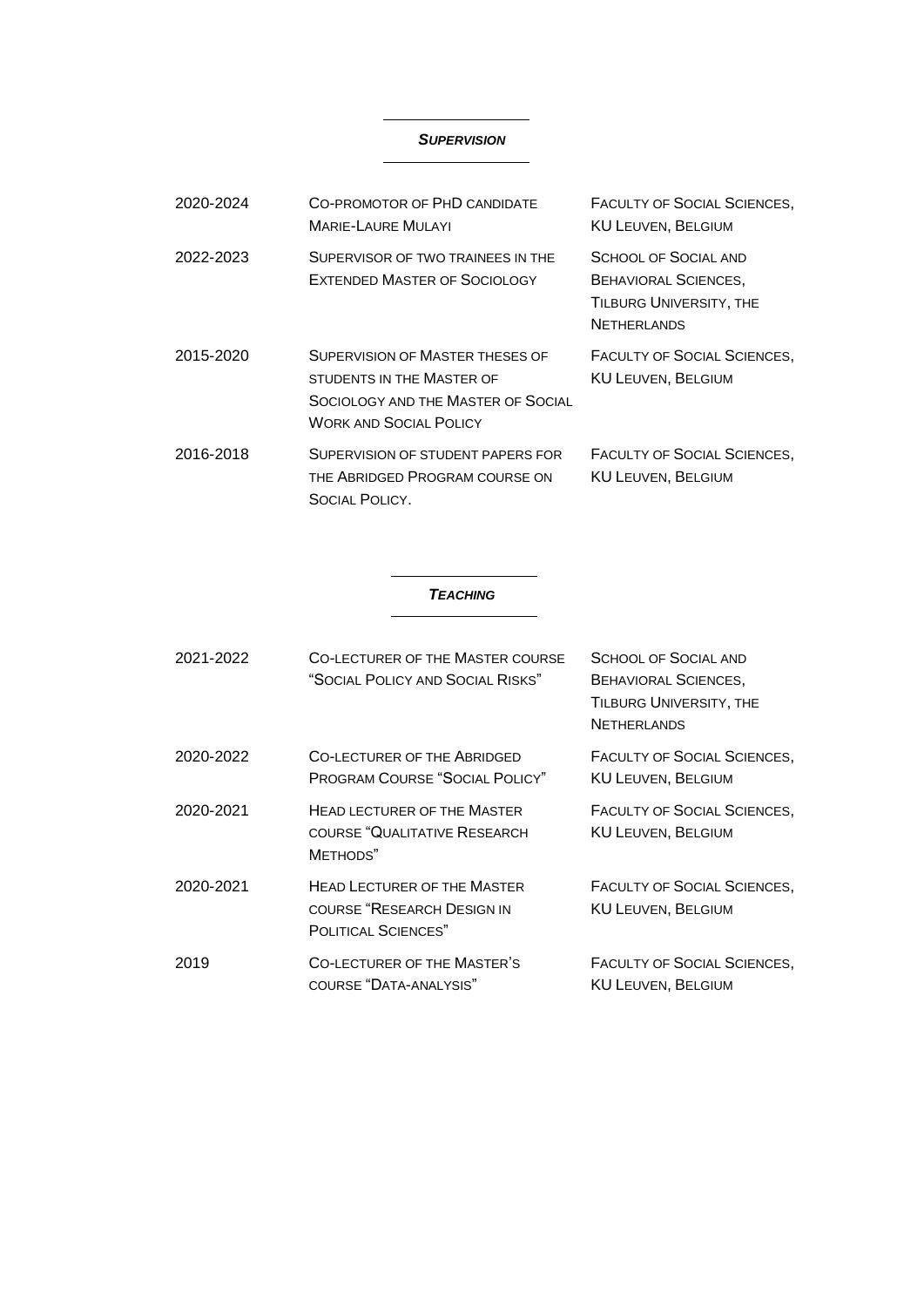### *SUPERVISION*

| 2020-2024 | CO-PROMOTOR OF PHD CANDIDATE<br><b>MARIF-LAURE MULAYL</b>                                                                           | <b>FACULTY OF SOCIAL SCIENCES,</b><br><b>KU LEUVEN, BELGIUM</b>                                             |
|-----------|-------------------------------------------------------------------------------------------------------------------------------------|-------------------------------------------------------------------------------------------------------------|
| 2022-2023 | SUPERVISOR OF TWO TRAINEES IN THE<br>EXTENDED MASTER OF SOCIOLOGY                                                                   | <b>SCHOOL OF SOCIAL AND</b><br><b>BEHAVIORAL SCIENCES,</b><br>TILBURG UNIVERSITY, THE<br><b>NETHERLANDS</b> |
| 2015-2020 | SUPERVISION OF MASTER THESES OF<br>STUDENTS IN THE MASTER OF<br>SOCIOLOGY AND THE MASTER OF SOCIAL<br><b>WORK AND SOCIAL POLICY</b> | <b>FACULTY OF SOCIAL SCIENCES,</b><br><b>KU LEUVEN, BELGIUM</b>                                             |
| 2016-2018 | SUPERVISION OF STUDENT PAPERS FOR<br>THE ABRIDGED PROGRAM COURSE ON<br>SOCIAL POLICY.                                               | <b>FACULTY OF SOCIAL SCIENCES,</b><br><b>KU LEUVEN, BELGIUM</b>                                             |

#### *TEACHING*

| 2021-2022 | CO-LECTURER OF THE MASTER COURSE<br>"SOCIAL POLICY AND SOCIAL RISKS"                           | <b>SCHOOL OF SOCIAL AND</b><br><b>BEHAVIORAL SCIENCES,</b><br>TILBURG UNIVERSITY, THE<br><b>NETHERLANDS</b> |
|-----------|------------------------------------------------------------------------------------------------|-------------------------------------------------------------------------------------------------------------|
| 2020-2022 | CO-LECTURER OF THE ABRIDGED<br><b>PROGRAM COURSE "SOCIAL POLICY"</b>                           | FACULTY OF SOCIAL SCIENCES,<br><b>KU LEUVEN, BELGIUM</b>                                                    |
| 2020-2021 | <b>HEAD LECTURER OF THE MASTER</b><br><b>COURSE "QUALITATIVE RESEARCH</b><br>METHODS"          | FACULTY OF SOCIAL SCIENCES,<br><b>KU LEUVEN, BELGIUM</b>                                                    |
| 2020-2021 | <b>HEAD LECTURER OF THE MASTER</b><br>COURSE "RESEARCH DESIGN IN<br><b>POLITICAL SCIENCES"</b> | FACULTY OF SOCIAL SCIENCES,<br><b>KU LEUVEN, BELGIUM</b>                                                    |
| 2019      | <b>CO-LECTURER OF THE MASTER'S</b><br>COURSE "DATA-ANALYSIS"                                   | FACULTY OF SOCIAL SCIENCES,<br><b>KU LEUVEN, BELGIUM</b>                                                    |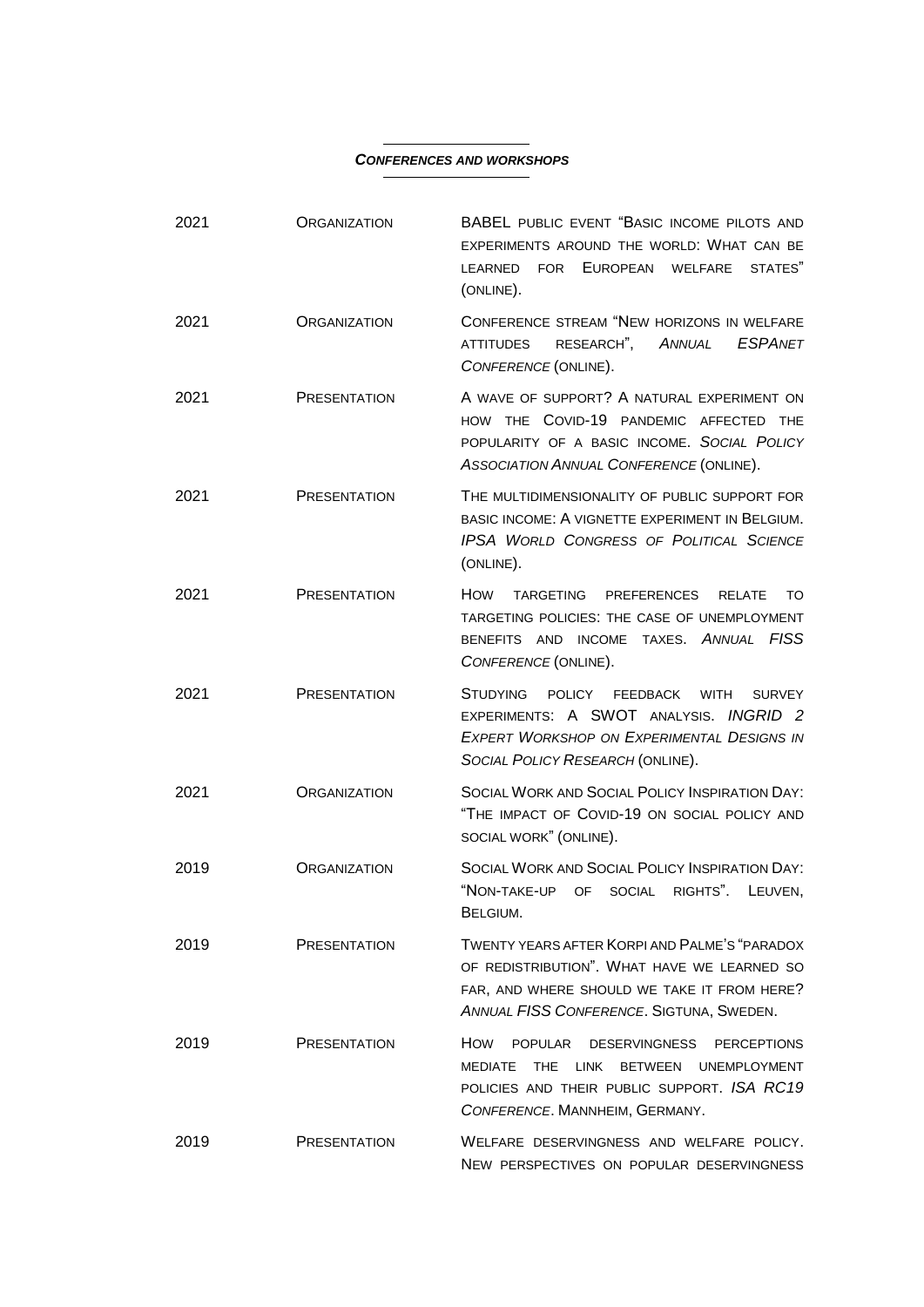#### *CONFERENCES AND WORKSHOPS*

 $\overline{\phantom{a}}$ 

| 2021 | <b>ORGANIZATION</b> | <b>BABEL PUBLIC EVENT "BASIC INCOME PILOTS AND</b><br>EXPERIMENTS AROUND THE WORLD: WHAT CAN BE<br>FOR EUROPEAN<br>WELFARE<br>STATES"<br>LEARNED<br>(ONLINE).                                                          |
|------|---------------------|------------------------------------------------------------------------------------------------------------------------------------------------------------------------------------------------------------------------|
| 2021 | <b>ORGANIZATION</b> | CONFERENCE STREAM "NEW HORIZONS IN WELFARE<br>RESEARCH",<br>ANNUAL<br><b>ESPANET</b><br><b>ATTITUDES</b><br>CONFERENCE (ONLINE).                                                                                       |
| 2021 | <b>PRESENTATION</b> | A WAVE OF SUPPORT? A NATURAL EXPERIMENT ON<br>THE COVID-19 PANDEMIC AFFECTED THE<br><b>HOW</b><br>POPULARITY OF A BASIC INCOME. SOCIAL POLICY<br>ASSOCIATION ANNUAL CONFERENCE (ONLINE).                               |
| 2021 | <b>PRESENTATION</b> | THE MULTIDIMENSIONALITY OF PUBLIC SUPPORT FOR<br>BASIC INCOME: A VIGNETTE EXPERIMENT IN BELGIUM.<br><b>IPSA WORLD CONGRESS OF POLITICAL SCIENCE</b><br>(ONLINE).                                                       |
| 2021 | <b>PRESENTATION</b> | How<br><b>TARGETING</b><br><b>PREFERENCES</b><br><b>RELATE</b><br>TO<br>TARGETING POLICIES: THE CASE OF UNEMPLOYMENT<br>BENEFITS AND INCOME TAXES. ANNUAL FISS<br>CONFERENCE (ONLINE).                                 |
| 2021 | <b>PRESENTATION</b> | <b>STUDYING</b><br><b>POLICY</b><br><b>FEEDBACK</b><br><b>WITH</b><br><b>SURVEY</b><br>EXPERIMENTS: A SWOT ANALYSIS. INGRID 2<br><b>EXPERT WORKSHOP ON EXPERIMENTAL DESIGNS IN</b><br>SOCIAL POLICY RESEARCH (ONLINE). |
| 2021 | <b>ORGANIZATION</b> | SOCIAL WORK AND SOCIAL POLICY INSPIRATION DAY:<br>"THE IMPACT OF COVID-19 ON SOCIAL POLICY AND<br>SOCIAL WORK" (ONLINE).                                                                                               |
| 2019 | <b>ORGANIZATION</b> | SOCIAL WORK AND SOCIAL POLICY INSPIRATION DAY:<br>"NON-TAKE-UP OF SOCIAL<br>RIGHTS".<br>LEUVEN,<br>BELGIUM.                                                                                                            |
| 2019 | <b>PRESENTATION</b> | TWENTY YEARS AFTER KORPI AND PALME'S "PARADOX<br>OF REDISTRIBUTION". WHAT HAVE WE LEARNED SO<br>FAR, AND WHERE SHOULD WE TAKE IT FROM HERE?<br>ANNUAL FISS CONFERENCE. SIGTUNA, SWEDEN.                                |
| 2019 | <b>PRESENTATION</b> | How<br><b>POPULAR</b><br>DESERVINGNESS PERCEPTIONS<br>THE<br><b>BETWEEN</b><br><b>UNEMPLOYMENT</b><br>MEDIATE<br>LINK<br>POLICIES AND THEIR PUBLIC SUPPORT. ISA RC19<br>CONFERENCE. MANNHEIM, GERMANY.                 |
| 2019 | <b>PRESENTATION</b> | WELFARE DESERVINGNESS AND WELFARE POLICY.<br>NEW PERSPECTIVES ON POPULAR DESERVINGNESS                                                                                                                                 |